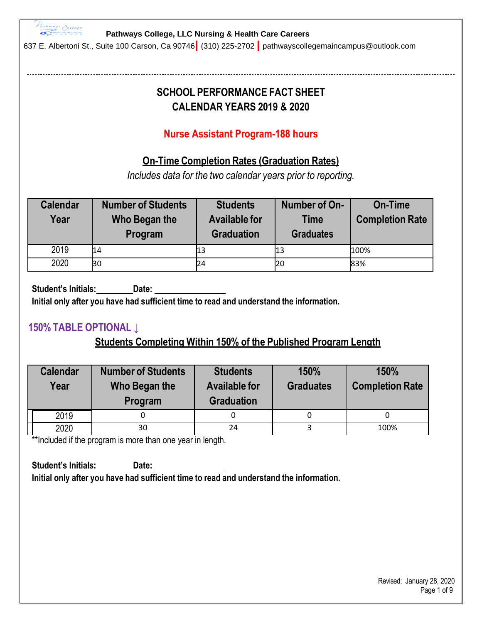

637 E. Albertoni St., Suite 100 Carson, Ca 90746**|** (310) 225-2702 **|** pathwayscollegemaincampus@outlook.com

# **SCHOOL PERFORMANCE FACT SHEET CALENDAR YEARS 2019 & 2020**

# **Nurse Assistant Program-188 hours**

## **On-Time Completion Rates (Graduation Rates)**

*Includes data for the two calendar years prior to reporting.*

| <b>Calendar</b><br>Year | <b>Number of Students</b><br>Who Began the<br>Program | <b>Students</b><br><b>Available for</b><br><b>Graduation</b> | Number of On-<br><b>Time</b><br><b>Graduates</b> | <b>On-Time</b><br><b>Completion Rate</b> |
|-------------------------|-------------------------------------------------------|--------------------------------------------------------------|--------------------------------------------------|------------------------------------------|
| 2019                    | 14                                                    | 13                                                           | 13                                               | 100%                                     |
| 2020                    | 30                                                    | 24                                                           | 20                                               | 83%                                      |

**Student's Initials: Date: Initial only after you have had sufficient time to read and understand the information.**

## **150% TABLE OPTIONAL ↓**

# **Students Completing Within 150% of the Published Program Length**

| <b>Calendar</b><br>Year | <b>Number of Students</b><br>Who Began the<br>Program      | <b>Students</b><br><b>Available for</b><br><b>Graduation</b> | 150%<br><b>Graduates</b> | 150%<br><b>Completion Rate</b> |  |
|-------------------------|------------------------------------------------------------|--------------------------------------------------------------|--------------------------|--------------------------------|--|
| 2019                    |                                                            |                                                              | 0                        |                                |  |
| 2020                    | 30                                                         | 24                                                           |                          | 100%                           |  |
|                         | **Included if the program is more than one year in length. |                                                              |                          |                                |  |

**Student's Initials: Date: Initial only after you have had sufficient time to read and understand the information.**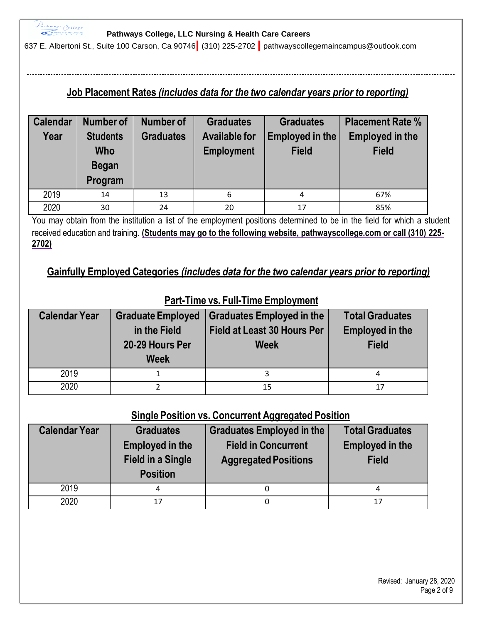

637 E. Albertoni St., Suite 100 Carson, Ca 90746**|** (310) 225-2702 **|** pathwayscollegemaincampus@outlook.com

## **Job Placement Rates** *(includes data for the two calendar years prior to reporting)*

| <b>Calendar</b> | Number of                                                | <b>Number of</b> | <b>Graduates</b><br><b>Graduates</b>      |                                 | <b>Placement Rate %</b>                |
|-----------------|----------------------------------------------------------|------------------|-------------------------------------------|---------------------------------|----------------------------------------|
| Year            | <b>Students</b><br><b>Who</b><br><b>Began</b><br>Program | <b>Graduates</b> | <b>Available for</b><br><b>Employment</b> | Employed in the<br><b>Field</b> | <b>Employed in the</b><br><b>Field</b> |
| 2019            | 14                                                       | 13               | 6                                         | 4                               | 67%                                    |
| 2020            | 30                                                       | 24               | 20                                        | 17                              | 85%                                    |

You may obtain from the institution a list of the employment positions determined to be in the field for which a student received education and training. **(Students may go to the following website, pathwayscollege.com or call (310) 225- 2702)**

### **Gainfully Employed Categories** *(includes data for the two calendar years prior to reporting)*

| <b>Calendar Year</b> | <b>Graduate Employed</b><br>in the Field<br>20-29 Hours Per<br><b>Week</b> | <b>Graduates Employed in the</b><br><b>Field at Least 30 Hours Per</b><br><b>Week</b> | <b>Total Graduates</b><br><b>Employed in the</b><br><b>Field</b> |
|----------------------|----------------------------------------------------------------------------|---------------------------------------------------------------------------------------|------------------------------------------------------------------|
| 2019                 |                                                                            |                                                                                       | 4                                                                |
| 2020                 |                                                                            | 15                                                                                    | 17                                                               |

### **Part-Time vs. Full-Time Employment**

### **Single Position vs. Concurrent Aggregated Position**

| <b>Calendar Year</b> | <b>Graduates</b><br><b>Employed in the</b><br><b>Field in a Single</b><br><b>Position</b> | <b>Graduates Employed in the</b><br><b>Field in Concurrent</b><br><b>Aggregated Positions</b> | <b>Total Graduates</b><br><b>Employed in the</b><br><b>Field</b> |
|----------------------|-------------------------------------------------------------------------------------------|-----------------------------------------------------------------------------------------------|------------------------------------------------------------------|
| 2019                 | 4                                                                                         |                                                                                               | 4                                                                |
| 2020                 | 17                                                                                        |                                                                                               | 17                                                               |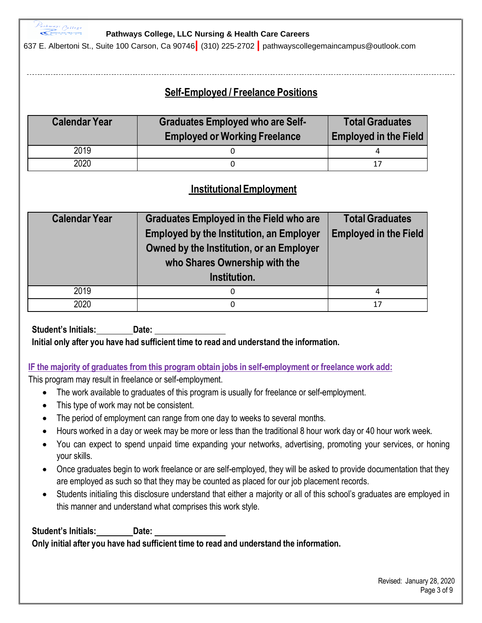

637 E. Albertoni St., Suite 100 Carson, Ca 90746**|** (310) 225-2702 **|** pathwayscollegemaincampus@outlook.com

# **Self-Employed / Freelance Positions**

| <b>Calendar Year</b> | <b>Graduates Employed who are Self-</b><br><b>Employed or Working Freelance</b> | <b>Total Graduates</b><br><b>Employed in the Field</b> |
|----------------------|---------------------------------------------------------------------------------|--------------------------------------------------------|
| 2019                 |                                                                                 |                                                        |
| 2020                 |                                                                                 | 17                                                     |

## **InstitutionalEmployment**

| <b>Calendar Year</b> | <b>Graduates Employed in the Field who are</b><br><b>Employed by the Institution, an Employer</b><br>Owned by the Institution, or an Employer<br>who Shares Ownership with the<br>Institution. | <b>Total Graduates</b><br><b>Employed in the Field</b> |
|----------------------|------------------------------------------------------------------------------------------------------------------------------------------------------------------------------------------------|--------------------------------------------------------|
| 2019                 | 0                                                                                                                                                                                              | 4                                                      |
| 2020                 | 0                                                                                                                                                                                              | 17                                                     |

**Student's Initials: Date:**

**Initial only after you have had sufficient time to read and understand the information.**

### **IF the majority of graduates from this program obtain jobs in self-employment or freelance work add:**

This program may result in freelance or self-employment.

- The work available to graduates of this program is usually for freelance or self-employment.
- This type of work may not be consistent.
- The period of employment can range from one day to weeks to several months.
- Hours worked in a day or week may be more or less than the traditional 8 hour work day or 40 hour work week.
- You can expect to spend unpaid time expanding your networks, advertising, promoting your services, or honing your skills.
- Once graduates begin to work freelance or are self-employed, they will be asked to provide documentation that they are employed as such so that they may be counted as placed for our job placement records.
- Students initialing this disclosure understand that either a majority or all of this school's graduates are employed in this manner and understand what comprises this work style.

**Student's Initials: Date: Only initial after you have had sufficient time to read and understand the information.**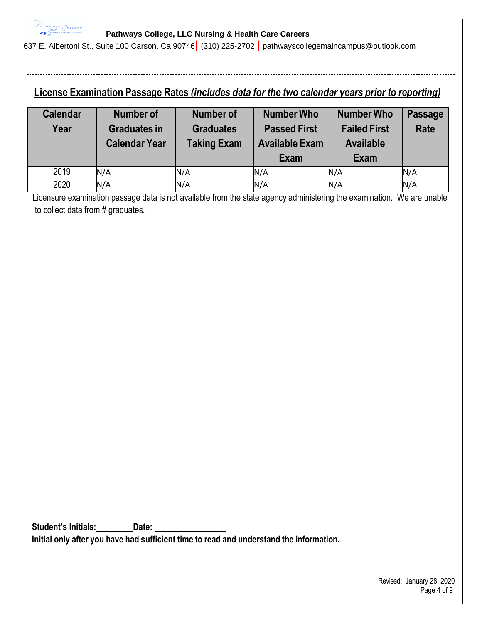

637 E. Albertoni St., Suite 100 Carson, Ca 90746**|** (310) 225-2702 **|** pathwayscollegemaincampus@outlook.com

## **License Examination Passage Rates** *(includes data for the two calendar years prior to reporting)*

| <b>Calendar</b><br>Year | <b>Number of</b><br><b>Graduates in</b><br><b>Calendar Year</b> | <b>Number of</b><br><b>Graduates</b><br><b>Taking Exam</b> | <b>Number Who</b><br><b>Passed First</b><br><b>Available Exam</b><br>Exam | <b>Number Who</b><br><b>Failed First</b><br><b>Available</b><br>Exam | <b>Passage</b><br><b>Rate</b> |
|-------------------------|-----------------------------------------------------------------|------------------------------------------------------------|---------------------------------------------------------------------------|----------------------------------------------------------------------|-------------------------------|
| 2019                    | N/A                                                             | N/A                                                        | N/A                                                                       | N/A                                                                  | N/A                           |
| 2020                    | N/A                                                             | N/A                                                        | N/A                                                                       | N/A                                                                  | N/A                           |

Licensure examination passage data is not available from the state agency administering the examination. We are unable to collect data from # graduates.

**Student's Initials: Date: Initial only after you have had sufficient time to read and understand the information.**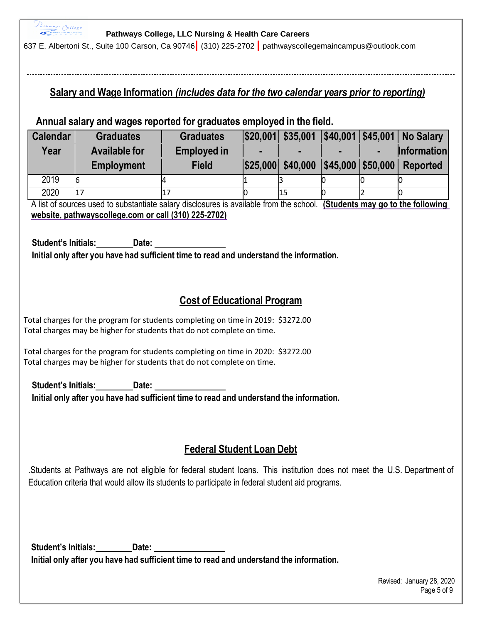Pathways College

### **Pathways College, LLC Nursing & Health Care Careers**

637 E. Albertoni St., Suite 100 Carson, Ca 90746**|** (310) 225-2702 **|** pathwayscollegemaincampus@outlook.com

## **Salary and Wage Information** *(includes data for the two calendar years prior to reporting)*

### **Annual salary and wages reported for graduates employed in the field.**

| <b>Calendar</b> | <b>Graduates</b>     | <b>Graduates</b>   | $ $20,001 $ \$35,001 |  | \$40,001 \$45,001 No Salary |
|-----------------|----------------------|--------------------|----------------------|--|-----------------------------|
| Year            | <b>Available for</b> | <b>Employed in</b> |                      |  | <b>Information</b>          |
|                 | <b>Employment</b>    | <b>Field</b>       | \$25,000 \$40,000    |  | \$45,000 \$50,000 Reported  |
| 2019            | 16                   |                    |                      |  |                             |
| 2020            | 17                   |                    | 15                   |  |                             |

A list of sources used to substantiate salary disclosures is available from the school. **(Students may go to the following website, pathwayscollege.com or call (310) 225-2702)**

**Student's Initials: Date: Initial only after you have had sufficient time to read and understand the information.**

# **Cost of Educational Program**

Total charges for the program for students completing on time in 2019: \$3272.00 Total charges may be higher for students that do not complete on time.

Total charges for the program for students completing on time in 2020: \$3272.00 Total charges may be higher for students that do not complete on time.

**Student's Initials: Date: Initial only after you have had sufficient time to read and understand the information.**

## **Federal Student Loan Debt**

.Students at Pathways are not eligible for federal student loans. This institution does not meet the U.S. Department of Education criteria that would allow its students to participate in federal student aid programs.

**Student's Initials: Date: Initial only after you have had sufficient time to read and understand the information.**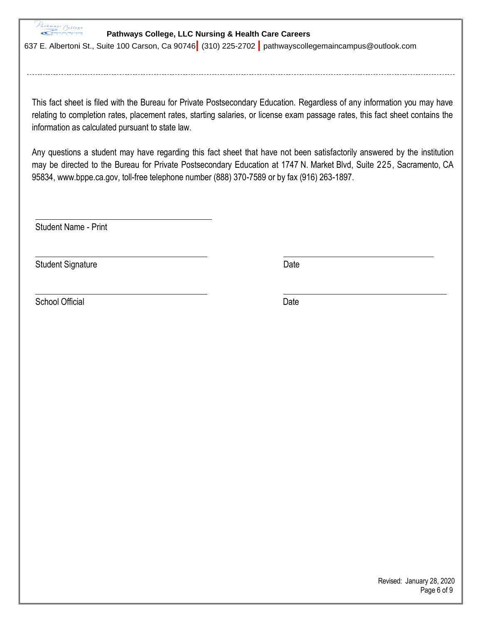$P_{athways}$   $O<sub>ollege</sub>$ 

### **Pathways College, LLC Nursing & Health Care Careers**

637 E. Albertoni St., Suite 100 Carson, Ca 90746**|** (310) 225-2702 **|** pathwayscollegemaincampus@outlook.com

This fact sheet is filed with the Bureau for Private Postsecondary Education. Regardless of any information you may have relating to completion rates, placement rates, starting salaries, or license exam passage rates, this fact sheet contains the information as calculated pursuant to state law.

Any questions a student may have regarding this fact sheet that have not been satisfactorily answered by the institution may be directed to the Bureau for Private Postsecondary Education at 1747 N. Market Blvd, Suite 225, Sacramento, CA 95834, [www.bppe.ca.gov,](http://www.bppe.ca.gov/) toll-free telephone number (888) 370-7589 or by fax (916) 263-1897.

Student Name - Print

Student Signature Date **Date** 

School Official Date Date Control of the Date Date Date Date Date Date Date

 Revised: January 28, 2020 Page 6 of 9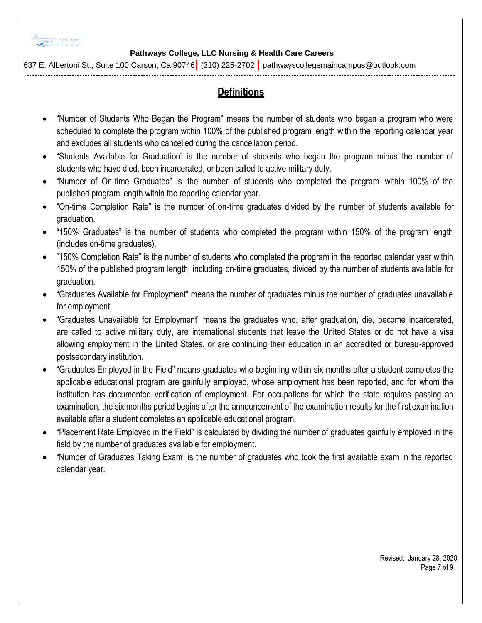

637 E. Albertoni St., Suite 100 Carson, Ca 90746**|** (310) 225-2702 **|** pathwayscollegemaincampus@outlook.com

# **Definitions**

- "Number of Students Who Began the Program" means the number of students who began a program who were scheduled to complete the program within 100% of the published program length within the reporting calendar year and excludes all students who cancelled during the cancellation period.
- "Students Available for Graduation" is the number of students who began the program minus the number of students who have died, been incarcerated, or been called to active military duty.
- "Number of On-time Graduates" is the number of students who completed the program within 100% of the published program length within the reporting calendar year.
- "On-time Completion Rate" is the number of on-time graduates divided by the number of students available for graduation.
- "150% Graduates" is the number of students who completed the program within 150% of the program length (includes on-time graduates).
- "150% Completion Rate" is the number of students who completed the program in the reported calendar year within 150% of the published program length, including on-time graduates, divided by the number of students available for graduation.
- "Graduates Available for Employment" means the number of graduates minus the number of graduates unavailable for employment.
- "Graduates Unavailable for Employment" means the graduates who, after graduation, die, become incarcerated, are called to active military duty, are international students that leave the United States or do not have a visa allowing employment in the United States, or are continuing their education in an accredited or bureau-approved postsecondary institution.
- "Graduates Employed in the Field" means graduates who beginning within six months after a student completes the applicable educational program are gainfully employed, whose employment has been reported, and for whom the institution has documented verification of employment. For occupations for which the state requires passing an examination, the six months period begins after the announcement of the examination results for the first examination available after a student completes an applicable educational program.
- "Placement Rate Employed in the Field" is calculated by dividing the number of graduates gainfully employed in the field by the number of graduates available for employment.
- "Number of Graduates Taking Exam" is the number of graduates who took the first available exam in the reported calendar year.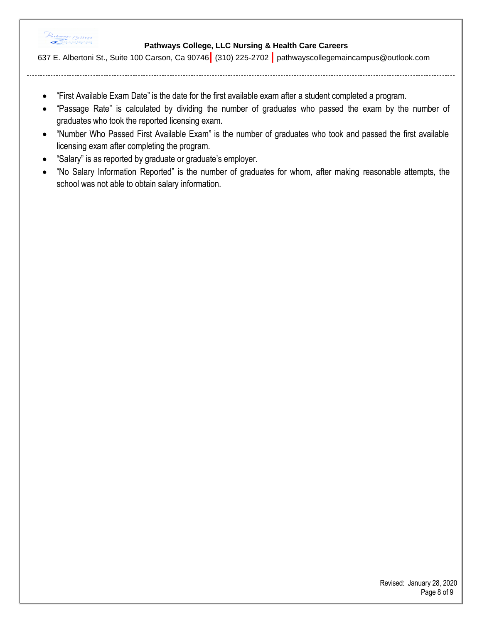

637 E. Albertoni St., Suite 100 Carson, Ca 90746**|** (310) 225-2702 **|** pathwayscollegemaincampus@outlook.com

- "First Available Exam Date" is the date for the first available exam after a student completed a program.
- "Passage Rate" is calculated by dividing the number of graduates who passed the exam by the number of graduates who took the reported licensing exam.
- "Number Who Passed First Available Exam" is the number of graduates who took and passed the first available licensing exam after completing the program.
- "Salary" is as reported by graduate or graduate's employer.
- "No Salary Information Reported" is the number of graduates for whom, after making reasonable attempts, the school was not able to obtain salary information.